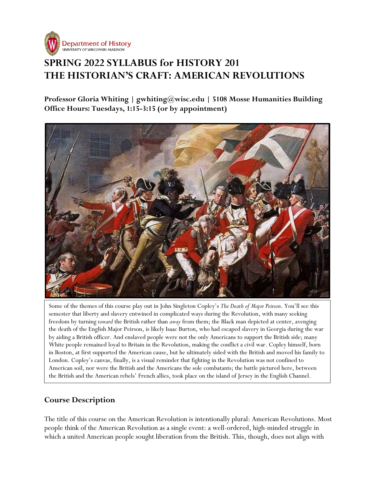

# **SPRING 2022 SYLLABUS for HISTORY 201 THE HISTORIAN'S CRAFT: AMERICAN REVOLUTIONS**

**Professor Gloria Whiting | gwhiting@wisc.edu | 5108 Mosse Humanities Building Office Hours: Tuesdays, 1:15-3:15 (or by appointment)**



Some of the themes of this course play out in John Singleton Copley's *The Death of Major Peirson*. You'll see this semester that liberty and slavery entwined in complicated ways during the Revolution, with many seeking freedom by turning *toward* the British rather than *away* from them; the Black man depicted at center, avenging the death of the English Major Peirson, is likely Isaac Burton, who had escaped slavery in Georgia during the war by aiding a British officer. And enslaved people were not the only Americans to support the British side; many White people remained loyal to Britain in the Revolution, making the conflict a civil war. Copley himself, born in Boston, at first supported the American cause, but he ultimately sided with the British and moved his family to London. Copley's canvas, finally, is a visual reminder that fighting in the Revolution was not confined to American soil, nor were the British and the Americans the sole combatants; the battle pictured here, between the British and the American rebels' French allies, took place on the island of Jersey in the English Channel.

## **Course Description**

The title of this course on the American Revolution is intentionally plural: American Revolutions. Most people think of the American Revolution as a single event: a well-ordered, high-minded struggle in which a united American people sought liberation from the British. This, though, does not align with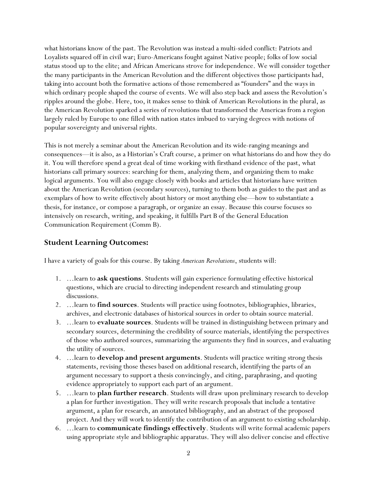what historians know of the past. The Revolution was instead a multi-sided conflict: Patriots and Loyalists squared off in civil war; Euro-Americans fought against Native people; folks of low social status stood up to the elite; and African Americans strove for independence. We will consider together the many participants in the American Revolution and the different objectives those participants had, taking into account both the formative actions of those remembered as "founders" and the ways in which ordinary people shaped the course of events. We will also step back and assess the Revolution's ripples around the globe. Here, too, it makes sense to think of American Revolutions in the plural, as the American Revolution sparked a series of revolutions that transformed the Americas from a region largely ruled by Europe to one filled with nation states imbued to varying degrees with notions of popular sovereignty and universal rights.

This is not merely a seminar about the American Revolution and its wide-ranging meanings and consequences—it is also, as a Historian's Craft course, a primer on what historians do and how they do it. You will therefore spend a great deal of time working with firsthand evidence of the past, what historians call primary sources: searching for them, analyzing them, and organizing them to make logical arguments. You will also engage closely with books and articles that historians have written about the American Revolution (secondary sources), turning to them both as guides to the past and as exemplars of how to write effectively about history or most anything else—how to substantiate a thesis, for instance, or compose a paragraph, or organize an essay. Because this course focuses so intensively on research, writing, and speaking, it fulfills Part B of the General Education Communication Requirement (Comm B).

#### **Student Learning Outcomes:**

I have a variety of goals for this course. By taking *American Revolutions*, students will:

- 1. …learn to **ask questions**. Students will gain experience formulating effective historical questions, which are crucial to directing independent research and stimulating group discussions.
- 2. …learn to **find sources**. Students will practice using footnotes, bibliographies, libraries, archives, and electronic databases of historical sources in order to obtain source material.
- 3. …learn to **evaluate sources**. Students will be trained in distinguishing between primary and secondary sources, determining the credibility of source materials, identifying the perspectives of those who authored sources, summarizing the arguments they find in sources, and evaluating the utility of sources.
- 4. …learn to **develop and present arguments**. Students will practice writing strong thesis statements, revising those theses based on additional research, identifying the parts of an argument necessary to support a thesis convincingly, and citing, paraphrasing, and quoting evidence appropriately to support each part of an argument.
- 5. …learn to **plan further research**. Students will draw upon preliminary research to develop a plan for further investigation. They will write research proposals that include a tentative argument, a plan for research, an annotated bibliography, and an abstract of the proposed project. And they will work to identify the contribution of an argument to existing scholarship.
- 6. …learn to **communicate findings effectively**. Students will write formal academic papers using appropriate style and bibliographic apparatus. They will also deliver concise and effective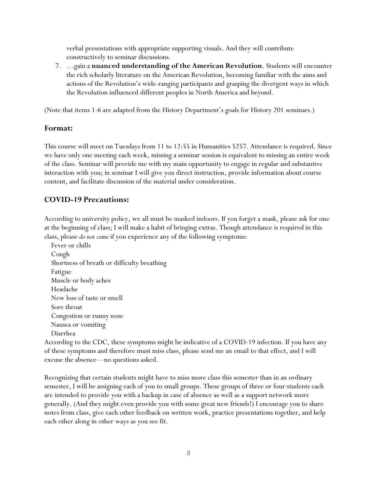verbal presentations with appropriate supporting visuals. And they will contribute constructively to seminar discussions.

7. …gain a **nuanced understanding of the American Revolution**. Students will encounter the rich scholarly literature on the American Revolution, becoming familiar with the aims and actions of the Revolution's wide-ranging participants and grasping the divergent ways in which the Revolution influenced different peoples in North America and beyond.

(Note that items 1-6 are adapted from the History Department's goals for History 201 seminars.)

#### **Format:**

This course will meet on Tuesdays from 11 to 12:55 in Humanities 5257. Attendance is required. Since we have only one meeting each week, missing a seminar session is equivalent to missing an entire week of the class. Seminar will provide me with my main opportunity to engage in regular and substantive interaction with you; in seminar I will give you direct instruction, provide information about course content, and facilitate discussion of the material under consideration.

## **COVID-19 Precautions:**

According to university policy, we all must be masked indoors. If you forget a mask, please ask for one at the beginning of class; I will make a habit of bringing extras. Though attendance is required in this class, please *do not come* if you experience any of the following symptoms:

 Fever or chills Cough Shortness of breath or difficulty breathing Fatigue Muscle or body aches Headache New loss of taste or smell Sore throat Congestion or runny nose Nausea or vomiting Diarrhea

According to the CDC, these symptoms might be indicative of a COVID-19 infection. If you have any of these symptoms and therefore must miss class, please send me an email to that effect, and I will excuse the absence—no questions asked.

Recognizing that certain students might have to miss more class this semester than in an ordinary semester, I will be assigning each of you to small groups. These groups of three or four students each are intended to provide you with a backup in case of absence as well as a support network more generally. (And they might even provide you with some great new friends!) I encourage you to share notes from class, give each other feedback on written work, practice presentations together, and help each other along in other ways as you see fit.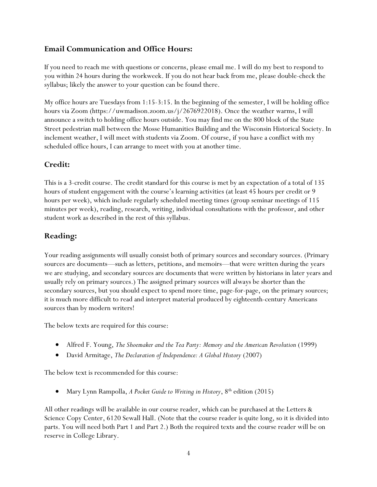## **Email Communication and Office Hours:**

If you need to reach me with questions or concerns, please email me. I will do my best to respond to you within 24 hours during the workweek. If you do not hear back from me, please double-check the syllabus; likely the answer to your question can be found there.

My office hours are Tuesdays from 1:15-3:15. In the beginning of the semester, I will be holding office hours via Zoom (https://uwmadison.zoom.us/j/2676922018). Once the weather warms, I will announce a switch to holding office hours outside. You may find me on the 800 block of the State Street pedestrian mall between the Mosse Humanities Building and the Wisconsin Historical Society. In inclement weather, I will meet with students via Zoom. Of course, if you have a conflict with my scheduled office hours, I can arrange to meet with you at another time.

### **Credit:**

This is a 3-credit course. The credit standard for this course is met by an expectation of a total of 135 hours of student engagement with the course's learning activities (at least 45 hours per credit or 9 hours per week), which include regularly scheduled meeting times (group seminar meetings of 115 minutes per week), reading, research, writing, individual consultations with the professor, and other student work as described in the rest of this syllabus.

## **Reading:**

Your reading assignments will usually consist both of primary sources and secondary sources. (Primary sources are documents—such as letters, petitions, and memoirs—that were written during the years we are studying, and secondary sources are documents that were written by historians in later years and usually rely on primary sources.) The assigned primary sources will always be shorter than the secondary sources, but you should expect to spend more time, page-for-page, on the primary sources; it is much more difficult to read and interpret material produced by eighteenth-century Americans sources than by modern writers!

The below texts are required for this course:

- Alfred F. Young, *The Shoemaker and the Tea Party: Memory and the American Revolution* (1999)
- David Armitage, *The Declaration of Independence: A Global History* (2007)

The below text is recommended for this course:

• Mary Lynn Rampolla, *A Pocket Guide to Writing in History*, 8th edition (2015)

All other readings will be available in our course reader, which can be purchased at the Letters & Science Copy Center, 6120 Sewall Hall. (Note that the course reader is quite long, so it is divided into parts. You will need both Part 1 and Part 2.) Both the required texts and the course reader will be on reserve in College Library.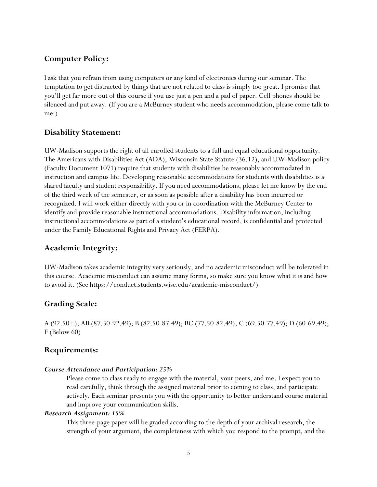### **Computer Policy:**

I ask that you refrain from using computers or any kind of electronics during our seminar. The temptation to get distracted by things that are not related to class is simply too great. I promise that you'll get far more out of this course if you use just a pen and a pad of paper. Cell phones should be silenced and put away. (If you are a McBurney student who needs accommodation, please come talk to me.)

#### **Disability Statement:**

UW-Madison supports the right of all enrolled students to a full and equal educational opportunity. The Americans with Disabilities Act (ADA), Wisconsin State Statute (36.12), and UW-Madison policy (Faculty Document 1071) require that students with disabilities be reasonably accommodated in instruction and campus life. Developing reasonable accommodations for students with disabilities is a shared faculty and student responsibility. If you need accommodations, please let me know by the end of the third week of the semester, or as soon as possible after a disability has been incurred or recognized. I will work either directly with you or in coordination with the McBurney Center to identify and provide reasonable instructional accommodations. Disability information, including instructional accommodations as part of a student's educational record, is confidential and protected under the Family Educational Rights and Privacy Act (FERPA).

#### **Academic Integrity:**

UW-Madison takes academic integrity very seriously, and no academic misconduct will be tolerated in this course. Academic misconduct can assume many forms, so make sure you know what it is and how to avoid it. (See https://conduct.students.wisc.edu/academic-misconduct/)

## **Grading Scale:**

A (92.50+); AB (87.50-92.49); B (82.50-87.49); BC (77.50-82.49); C (69.50-77.49); D (60-69.49); F (Below 60)

#### **Requirements:**

#### *Course Attendance and Participation: 25%*

Please come to class ready to engage with the material, your peers, and me. I expect you to read carefully, think through the assigned material prior to coming to class, and participate actively. Each seminar presents you with the opportunity to better understand course material and improve your communication skills.

#### *Research Assignment: 15%*

This three-page paper will be graded according to the depth of your archival research, the strength of your argument, the completeness with which you respond to the prompt, and the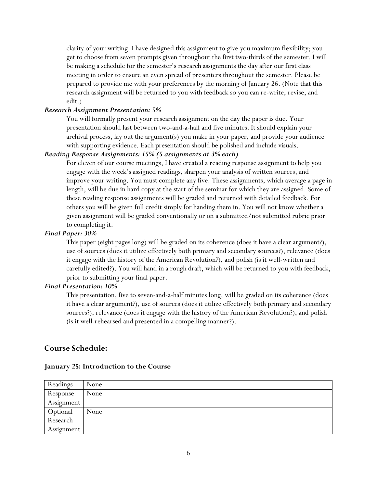clarity of your writing. I have designed this assignment to give you maximum flexibility; you get to choose from seven prompts given throughout the first two-thirds of the semester. I will be making a schedule for the semester's research assignments the day after our first class meeting in order to ensure an even spread of presenters throughout the semester. Please be prepared to provide me with your preferences by the morning of January 26. (Note that this research assignment will be returned to you with feedback so you can re-write, revise, and edit.)

#### *Research Assignment Presentation: 5%*

You will formally present your research assignment on the day the paper is due. Your presentation should last between two-and-a-half and five minutes. It should explain your archival process, lay out the argument(s) you make in your paper, and provide your audience with supporting evidence. Each presentation should be polished and include visuals.

#### *Reading Response Assignments: 15% (5 assignments at 3% each)*

For eleven of our course meetings, I have created a reading response assignment to help you engage with the week's assigned readings, sharpen your analysis of written sources, and improve your writing. You must complete any five. These assignments, which average a page in length, will be due in hard copy at the start of the seminar for which they are assigned. Some of these reading response assignments will be graded and returned with detailed feedback. For others you will be given full credit simply for handing them in. You will not know whether a given assignment will be graded conventionally or on a submitted/not submitted rubric prior to completing it.

#### *Final Paper: 30%*

This paper (eight pages long) will be graded on its coherence (does it have a clear argument?), use of sources (does it utilize effectively both primary and secondary sources?), relevance (does it engage with the history of the American Revolution?), and polish (is it well-written and carefully edited?). You will hand in a rough draft, which will be returned to you with feedback, prior to submitting your final paper.

#### *Final Presentation: 10%*

This presentation, five to seven-and-a-half minutes long, will be graded on its coherence (does it have a clear argument?), use of sources (does it utilize effectively both primary and secondary sources?), relevance (does it engage with the history of the American Revolution?), and polish (is it well-rehearsed and presented in a compelling manner?).

#### **Course Schedule:**

#### **January 25: Introduction to the Course**

| Readings   | None |
|------------|------|
| Response   | None |
| Assignment |      |
| Optional   | None |
| Research   |      |
| Assignment |      |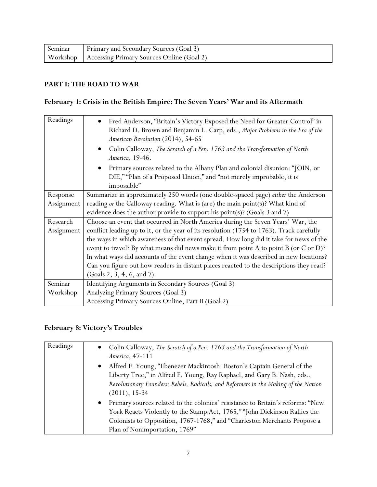| Seminar | <b>Primary and Secondary Sources (Goal 3)</b>        |
|---------|------------------------------------------------------|
|         | Workshop   Accessing Primary Sources Online (Goal 2) |

#### **PART I: THE ROAD TO WAR**

## **February 1: Crisis in the British Empire: The Seven Years' War and its Aftermath**

| Readings   | Fred Anderson, "Britain's Victory Exposed the Need for Greater Control" in<br>$\bullet$<br>Richard D. Brown and Benjamin L. Carp, eds., Major Problems in the Era of the<br>American Revolution (2014), 54-65<br>$\bullet$ |
|------------|----------------------------------------------------------------------------------------------------------------------------------------------------------------------------------------------------------------------------|
|            | Colin Calloway, The Scratch of a Pen: 1763 and the Transformation of North<br>America, 19-46.                                                                                                                              |
|            | Primary sources related to the Albany Plan and colonial disunion: "JOIN, or<br>$\bullet$<br>DIE," "Plan of a Proposed Union," and "not merely improbable, it is<br>impossible"                                             |
| Response   | Summarize in approximately 250 words (one double-spaced page) either the Anderson                                                                                                                                          |
| Assignment | reading or the Calloway reading. What is (are) the main point(s)? What kind of                                                                                                                                             |
|            | evidence does the author provide to support his point(s)? (Goals $3$ and $7$ )                                                                                                                                             |
| Research   | Choose an event that occurred in North America during the Seven Years' War, the                                                                                                                                            |
| Assignment | conflict leading up to it, or the year of its resolution (1754 to 1763). Track carefully                                                                                                                                   |
|            | the ways in which awareness of that event spread. How long did it take for news of the                                                                                                                                     |
|            | event to travel? By what means did news make it from point A to point B (or C or D)?                                                                                                                                       |
|            | In what ways did accounts of the event change when it was described in new locations?                                                                                                                                      |
|            | Can you figure out how readers in distant places reacted to the descriptions they read?                                                                                                                                    |
|            | (Goals 2, 3, 4, 6, and 7)                                                                                                                                                                                                  |
| Seminar    | Identifying Arguments in Secondary Sources (Goal 3)                                                                                                                                                                        |
| Workshop   | Analyzing Primary Sources (Goal 3)                                                                                                                                                                                         |
|            | Accessing Primary Sources Online, Part II (Goal 2)                                                                                                                                                                         |

## **February 8: Victory's Troubles**

| Readings | Colin Calloway, The Scratch of a Pen: 1763 and the Transformation of North<br>$\bullet$<br>America, 47-111                                                                                                                                                                             |
|----------|----------------------------------------------------------------------------------------------------------------------------------------------------------------------------------------------------------------------------------------------------------------------------------------|
|          | Alfred F. Young, "Ebenezer Mackintosh: Boston's Captain General of the<br>$\bullet$<br>Liberty Tree," in Alfred F. Young, Ray Raphael, and Gary B. Nash, eds.,<br>Revolutionary Founders: Rebels, Radicals, and Reformers in the Making of the Nation<br>$(2011), 15-34$               |
|          | Primary sources related to the colonies' resistance to Britain's reforms: "New<br>$\bullet$<br>York Reacts Violently to the Stamp Act, 1765," "John Dickinson Rallies the<br>Colonists to Opposition, 1767-1768," and "Charleston Merchants Propose a<br>Plan of Nonimportation, 1769" |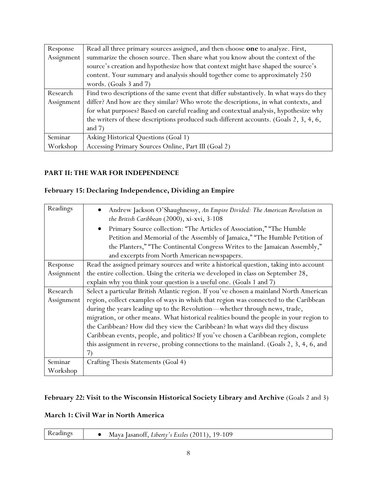| Response   | Read all three primary sources assigned, and then choose one to analyze. First,         |
|------------|-----------------------------------------------------------------------------------------|
| Assignment | summarize the chosen source. Then share what you know about the context of the          |
|            | source's creation and hypothesize how that context might have shaped the source's       |
|            | content. Your summary and analysis should together come to approximately 250            |
|            | words. (Goals 3 and 7)                                                                  |
| Research   | Find two descriptions of the same event that differ substantively. In what ways do they |
| Assignment | differ? And how are they similar? Who wrote the descriptions, in what contexts, and     |
|            | for what purposes? Based on careful reading and contextual analysis, hypothesize why    |
|            | the writers of these descriptions produced such different accounts. (Goals 2, 3, 4, 6,  |
|            | and $7)$                                                                                |
| Seminar    | Asking Historical Questions (Goal 1)                                                    |
| Workshop   | Accessing Primary Sources Online, Part III (Goal 2)                                     |

#### **PART II: THE WAR FOR INDEPENDENCE**

# **February 15: Declaring Independence, Dividing an Empire**

| Readings   | Andrew Jackson O'Shaughnessy, An Empire Divided: The American Revolution in<br>$\bullet$<br>the British Caribbean (2000), xi-xvi, 3-108 |
|------------|-----------------------------------------------------------------------------------------------------------------------------------------|
|            | Primary Source collection: "The Articles of Association," "The Humble<br>$\bullet$                                                      |
|            | Petition and Memorial of the Assembly of Jamaica," "The Humble Petition of                                                              |
|            | the Planters," "The Continental Congress Writes to the Jamaican Assembly,"                                                              |
|            | and excerpts from North American newspapers.                                                                                            |
| Response   | Read the assigned primary sources and write a historical question, taking into account                                                  |
| Assignment | the entire collection. Using the criteria we developed in class on September 28,                                                        |
|            | explain why you think your question is a useful one. (Goals 1 and 7)                                                                    |
| Research   | Select a particular British Atlantic region. If you've chosen a mainland North American                                                 |
| Assignment | region, collect examples of ways in which that region was connected to the Caribbean                                                    |
|            | during the years leading up to the Revolution-whether through news, trade,                                                              |
|            | migration, or other means. What historical realities bound the people in your region to                                                 |
|            | the Caribbean? How did they view the Caribbean? In what ways did they discuss                                                           |
|            | Caribbean events, people, and politics? If you've chosen a Caribbean region, complete                                                   |
|            | this assignment in reverse, probing connections to the mainland. (Goals 2, 3, 4, 6, and                                                 |
|            | 7)                                                                                                                                      |
| Seminar    | Crafting Thesis Statements (Goal 4)                                                                                                     |
| Workshop   |                                                                                                                                         |

# **February 22: Visit to the Wisconsin Historical Society Library and Archive** (Goals 2 and 3)

#### **March 1: Civil War in North America**

| 19-109 |
|--------|
|--------|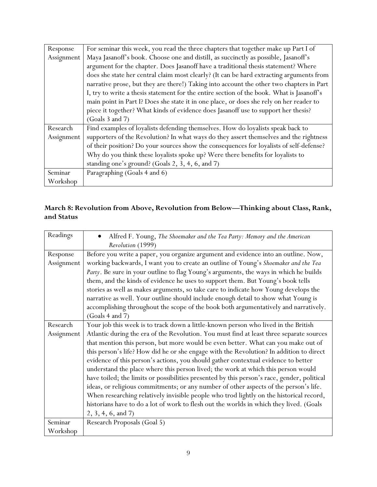| Response   | For seminar this week, you read the three chapters that together make up Part I of        |
|------------|-------------------------------------------------------------------------------------------|
| Assignment | Maya Jasanoff's book. Choose one and distill, as succinctly as possible, Jasanoff's       |
|            | argument for the chapter. Does Jasanoff have a traditional thesis statement? Where        |
|            | does she state her central claim most clearly? (It can be hard extracting arguments from  |
|            | narrative prose, but they are there!) Taking into account the other two chapters in Part  |
|            | I, try to write a thesis statement for the entire section of the book. What is Jasanoff's |
|            | main point in Part I? Does she state it in one place, or does she rely on her reader to   |
|            | piece it together? What kinds of evidence does Jasanoff use to support her thesis?        |
|            | (Goals 3 and 7)                                                                           |
| Research   | Find examples of loyalists defending themselves. How do loyalists speak back to           |
| Assignment | supporters of the Revolution? In what ways do they assert themselves and the rightness    |
|            | of their position? Do your sources show the consequences for loyalists of self-defense?   |
|            | Why do you think these loyalists spoke up? Were there benefits for loyalists to           |
|            | standing one's ground? (Goals 2, 3, 4, 6, and 7)                                          |
| Seminar    | Paragraphing (Goals 4 and 6)                                                              |
| Workshop   |                                                                                           |

## **March 8: Revolution from Above, Revolution from Below—Thinking about Class, Rank, and Status**

| Readings   | Alfred F. Young, The Shoemaker and the Tea Party: Memory and the American                   |
|------------|---------------------------------------------------------------------------------------------|
|            | Revolution (1999)                                                                           |
| Response   | Before you write a paper, you organize argument and evidence into an outline. Now,          |
| Assignment | working backwards, I want you to create an outline of Young's Shoemaker and the Tea         |
|            | Party. Be sure in your outline to flag Young's arguments, the ways in which he builds       |
|            | them, and the kinds of evidence he uses to support them. But Young's book tells             |
|            | stories as well as makes arguments, so take care to indicate how Young develops the         |
|            | narrative as well. Your outline should include enough detail to show what Young is          |
|            | accomplishing throughout the scope of the book both argumentatively and narratively.        |
|            | (Goals 4 and 7)                                                                             |
| Research   | Your job this week is to track down a little-known person who lived in the British          |
| Assignment | Atlantic during the era of the Revolution. You must find at least three separate sources    |
|            | that mention this person, but more would be even better. What can you make out of           |
|            | this person's life? How did he or she engage with the Revolution? In addition to direct     |
|            | evidence of this person's actions, you should gather contextual evidence to better          |
|            | understand the place where this person lived; the work at which this person would           |
|            | have toiled; the limits or possibilities presented by this person's race, gender, political |
|            | ideas, or religious commitments; or any number of other aspects of the person's life.       |
|            | When researching relatively invisible people who trod lightly on the historical record,     |
|            | historians have to do a lot of work to flesh out the worlds in which they lived. (Goals     |
|            | 2, 3, 4, 6, and 7)                                                                          |
| Seminar    | Research Proposals (Goal 5)                                                                 |
| Workshop   |                                                                                             |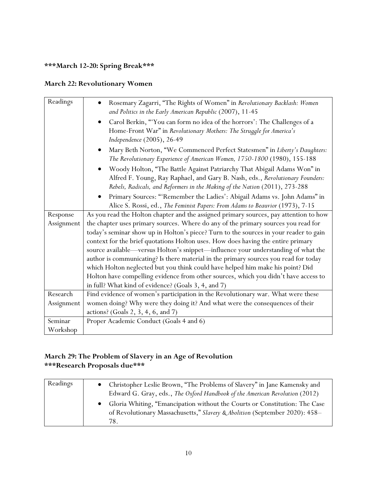# **\*\*\*March 12-20: Spring Break\*\*\***

### **March 22: Revolutionary Women**

| Readings   | Rosemary Zagarri, "The Rights of Women" in Revolutionary Backlash: Women<br>and Politics in the Early American Republic (2007), 11-45                                                                                                   |
|------------|-----------------------------------------------------------------------------------------------------------------------------------------------------------------------------------------------------------------------------------------|
|            | Carol Berkin, "'You can form no idea of the horrors': The Challenges of a<br>$\bullet$<br>Home-Front War" in Revolutionary Mothers: The Struggle for America's<br>Independence (2005), 26-49                                            |
|            | Mary Beth Norton, "We Commenced Perfect Statesmen" in Liberty's Daughters:<br>The Revolutionary Experience of American Women, 1750-1800 (1980), 155-188                                                                                 |
|            | Woody Holton, "The Battle Against Patriarchy That Abigail Adams Won" in<br>Alfred F. Young, Ray Raphael, and Gary B. Nash, eds., Revolutionary Founders:<br>Rebels, Radicals, and Reformers in the Making of the Nation (2011), 273-288 |
|            | Primary Sources: "'Remember the Ladies': Abigail Adams vs. John Adams" in<br>Alice S. Rossi, ed., The Feminist Papers: From Adams to Beauvior (1973), 7-15                                                                              |
| Response   | As you read the Holton chapter and the assigned primary sources, pay attention to how                                                                                                                                                   |
| Assignment | the chapter uses primary sources. Where do any of the primary sources you read for                                                                                                                                                      |
|            | today's seminar show up in Holton's piece? Turn to the sources in your reader to gain                                                                                                                                                   |
|            | context for the brief quotations Holton uses. How does having the entire primary                                                                                                                                                        |
|            | source available—versus Holton's snippet—influence your understanding of what the                                                                                                                                                       |
|            | author is communicating? Is there material in the primary sources you read for today                                                                                                                                                    |
|            | which Holton neglected but you think could have helped him make his point? Did                                                                                                                                                          |
|            | Holton have compelling evidence from other sources, which you didn't have access to                                                                                                                                                     |
|            | in full? What kind of evidence? (Goals 3, 4, and 7)                                                                                                                                                                                     |
| Research   | Find evidence of women's participation in the Revolutionary war. What were these                                                                                                                                                        |
| Assignment | women doing? Why were they doing it? And what were the consequences of their                                                                                                                                                            |
|            | actions? (Goals 2, 3, 4, 6, and 7)                                                                                                                                                                                                      |
| Seminar    | Proper Academic Conduct (Goals 4 and 6)                                                                                                                                                                                                 |
| Workshop   |                                                                                                                                                                                                                                         |

## **March 29: The Problem of Slavery in an Age of Revolution \*\*\*Research Proposals due\*\*\***

| Readings | Christopher Leslie Brown, "The Problems of Slavery" in Jane Kamensky and<br>Edward G. Gray, eds., The Oxford Handbook of the American Revolution (2012)          |
|----------|------------------------------------------------------------------------------------------------------------------------------------------------------------------|
|          | Gloria Whiting, "Emancipation without the Courts or Constitution: The Case<br>of Revolutionary Massachusetts," Slavery & Abolition (September 2020): 458-<br>78. |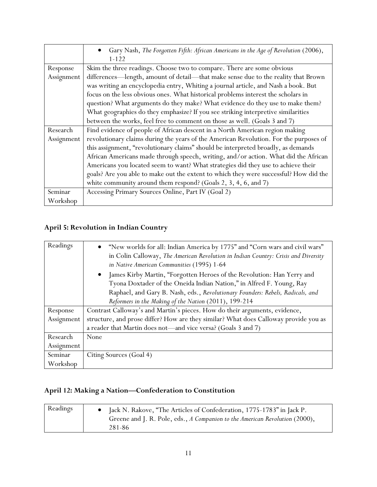|            | Gary Nash, The Forgotten Fifth: African Americans in the Age of Revolution (2006),<br>$\bullet$<br>$1 - 122$ |
|------------|--------------------------------------------------------------------------------------------------------------|
| Response   | Skim the three readings. Choose two to compare. There are some obvious                                       |
| Assignment | differences—length, amount of detail—that make sense due to the reality that Brown                           |
|            | was writing an encyclopedia entry, Whiting a journal article, and Nash a book. But                           |
|            | focus on the less obvious ones. What historical problems interest the scholars in                            |
|            | question? What arguments do they make? What evidence do they use to make them?                               |
|            | What geographies do they emphasize? If you see striking interpretive similarities                            |
|            | between the works, feel free to comment on those as well. (Goals 3 and 7)                                    |
| Research   | Find evidence of people of African descent in a North American region making                                 |
| Assignment | revolutionary claims during the years of the American Revolution. For the purposes of                        |
|            | this assignment, "revolutionary claims" should be interpreted broadly, as demands                            |
|            | African Americans made through speech, writing, and/or action. What did the African                          |
|            | Americans you located seem to want? What strategies did they use to achieve their                            |
|            | goals? Are you able to make out the extent to which they were successful? How did the                        |
|            | white community around them respond? (Goals 2, 3, 4, 6, and 7)                                               |
| Seminar    | Accessing Primary Sources Online, Part IV (Goal 2)                                                           |
| Workshop   |                                                                                                              |

# **April 5: Revolution in Indian Country**

| Readings   | "New worlds for all: Indian America by 1775" and "Corn wars and civil wars"<br>$\bullet$<br>in Colin Calloway, The American Revolution in Indian Country: Crisis and Diversity<br>in Native American Communities (1995) 1-64 |
|------------|------------------------------------------------------------------------------------------------------------------------------------------------------------------------------------------------------------------------------|
|            | James Kirby Martin, "Forgotten Heroes of the Revolution: Han Yerry and<br>$\bullet$<br>Tyona Doxtader of the Oneida Indian Nation," in Alfred F. Young, Ray                                                                  |
|            | Raphael, and Gary B. Nash, eds., Revolutionary Founders: Rebels, Radicals, and                                                                                                                                               |
|            | Reformers in the Making of the Nation (2011), 199-214                                                                                                                                                                        |
| Response   | Contrast Calloway's and Martin's pieces. How do their arguments, evidence,                                                                                                                                                   |
| Assignment | structure, and prose differ? How are they similar? What does Calloway provide you as                                                                                                                                         |
|            | a reader that Martin does not—and vice versa? (Goals 3 and 7)                                                                                                                                                                |
| Research   | None                                                                                                                                                                                                                         |
| Assignment |                                                                                                                                                                                                                              |
| Seminar    | Citing Sources (Goal 4)                                                                                                                                                                                                      |
| Workshop   |                                                                                                                                                                                                                              |

# **April 12: Making a Nation—Confederation to Constitution**

| Readings | Jack N. Rakove, "The Articles of Confederation, 1775-1783" in Jack P.       |
|----------|-----------------------------------------------------------------------------|
|          | Greene and J. R. Pole, eds., A Companion to the American Revolution (2000), |
|          | 281-86                                                                      |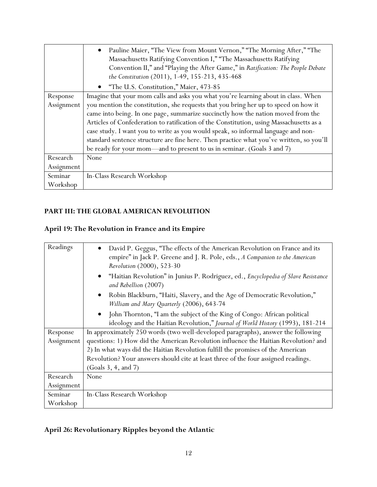|            | Pauline Maier, "The View from Mount Vernon," "The Morning After," "The<br>$\bullet$<br>Massachusetts Ratifying Convention I," "The Massachusetts Ratifying<br>Convention II," and "Playing the After Game," in Ratification: The People Debate<br>the Constitution (2011), 1-49, 155-213, 435-468 |
|------------|---------------------------------------------------------------------------------------------------------------------------------------------------------------------------------------------------------------------------------------------------------------------------------------------------|
|            | • "The U.S. Constitution," Maier, 473-85                                                                                                                                                                                                                                                          |
| Response   | Imagine that your mom calls and asks you what you're learning about in class. When                                                                                                                                                                                                                |
| Assignment | you mention the constitution, she requests that you bring her up to speed on how it                                                                                                                                                                                                               |
|            | came into being. In one page, summarize succinctly how the nation moved from the                                                                                                                                                                                                                  |
|            | Articles of Confederation to ratification of the Constitution, using Massachusetts as a                                                                                                                                                                                                           |
|            | case study. I want you to write as you would speak, so informal language and non-                                                                                                                                                                                                                 |
|            | standard sentence structure are fine here. Then practice what you've written, so you'll                                                                                                                                                                                                           |
|            | be ready for your mom-and to present to us in seminar. (Goals 3 and 7)                                                                                                                                                                                                                            |
| Research   | None                                                                                                                                                                                                                                                                                              |
| Assignment |                                                                                                                                                                                                                                                                                                   |
| Seminar    | In-Class Research Workshop                                                                                                                                                                                                                                                                        |
| Workshop   |                                                                                                                                                                                                                                                                                                   |

## **PART III: THE GLOBAL AMERICAN REVOLUTION**

# **April 19: The Revolution in France and its Empire**

| Readings   | David P. Geggus, "The effects of the American Revolution on France and its<br>empire" in Jack P. Greene and J. R. Pole, eds., A Companion to the American<br>Revolution (2000), 523-30 |
|------------|----------------------------------------------------------------------------------------------------------------------------------------------------------------------------------------|
|            | "Haitian Revolution" in Junius P. Rodriguez, ed., Encyclopedia of Slave Resistance<br>$\bullet$<br>and Rebellion (2007)                                                                |
|            | Robin Blackburn, "Haiti, Slavery, and the Age of Democratic Revolution,"<br>$\bullet$<br>William and Mary Quarterly (2006), 643-74                                                     |
|            | • John Thornton, "I am the subject of the King of Congo: African political<br>ideology and the Haitian Revolution," Journal of World History (1993), 181-214                           |
| Response   | In approximately 250 words (two well-developed paragraphs), answer the following                                                                                                       |
| Assignment | questions: 1) How did the American Revolution influence the Haitian Revolution? and                                                                                                    |
|            | 2) In what ways did the Haitian Revolution fulfill the promises of the American                                                                                                        |
|            | Revolution? Your answers should cite at least three of the four assigned readings.                                                                                                     |
|            | (Goals 3, 4, and 7)                                                                                                                                                                    |
| Research   | None                                                                                                                                                                                   |
| Assignment |                                                                                                                                                                                        |
| Seminar    | In-Class Research Workshop                                                                                                                                                             |
| Workshop   |                                                                                                                                                                                        |

# **April 26: Revolutionary Ripples beyond the Atlantic**